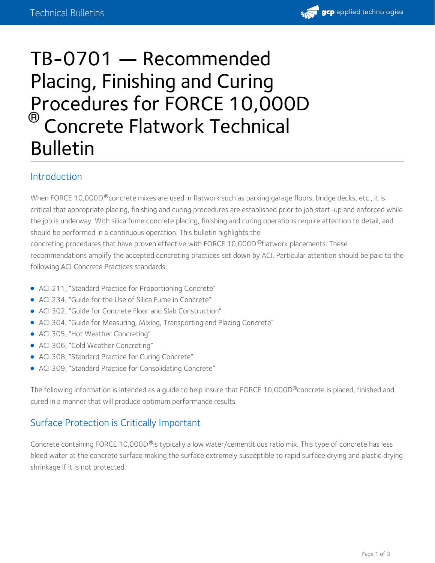

# TB-0701 — Recommended Placing, Finishing and Curing Procedures for FORCE 10,000D <sup>®</sup> Concrete Flatwork Technical Bulletin

## Introduction

When FORCE 10,000D®concrete mixes are used in flatwork such as parking garage floors, bridge decks, etc., it is critical that appropriate placing, finishing and curing procedures are established prior to job start-up and enforced while the job is underway. With silica fume concrete placing, finishing and curing operations require attention to detail, and should be performed in a continuous operation. This bulletin highlights the concreting procedures that have proven effective with FORCE 10,000D ®flatwork placements. These recommendations amplify the accepted concreting practices set down by ACI. Particular attention should be paid to the following ACI Concrete Practices standards:

- ACI 211, "Standard Practice for Proportioning Concrete"
- ACI 234, "Guide for the Use of Silica Fume in Concrete"
- ACI 302, "Guide for Concrete Floor and Slab Construction"
- ACI 304, "Guide for Measuring, Mixing, Transporting and Placing Concrete"
- ACI 305, "Hot Weather Concreting"
- ACI 306, "Cold Weather Concreting"
- ACI 308, "Standard Practice for Curing Concrete"
- ACI 309, "Standard Practice for Consolidating Concrete"

The following information is intended as a guide to help insure that FORCE 10,000D®concrete is placed, finished and cured in a manner that will produce optimum performance results.

# Surface Protection is Critically Important

Concrete containing FORCE 10,000D®is typically a low water/cementitious ratio mix. This type of concrete has less bleed water at the concrete surface making the surface extremely susceptible to rapid surface drying and plastic drying shrinkage if it is not protected.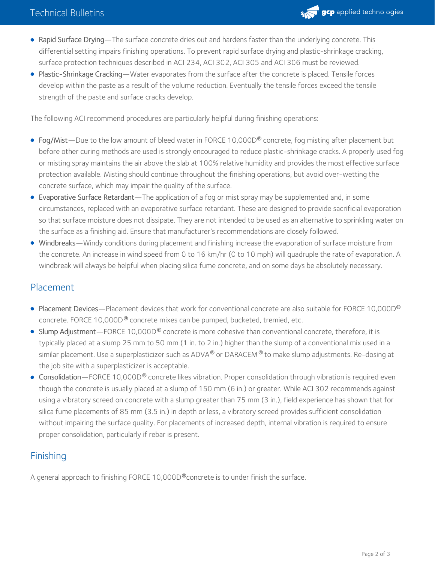

- Rapid Surface Drying—The surface concrete dries out and hardens faster than the underlying concrete. This differential setting impairs finishing operations. To prevent rapid surface drying and plastic-shrinkage cracking, surface protection techniques described in ACI 234, ACI 302, ACI 305 and ACI 306 must be reviewed.
- Plastic-Shrinkage Cracking—Water evaporates from the surface after the concrete is placed. Tensile forces develop within the paste as a result of the volume reduction. Eventually the tensile forces exceed the tensile strength of the paste and surface cracks develop.

The following ACI recommend procedures are particularly helpful during finishing operations:

- <code>Fog/Mist—Due</code> to the low amount of bleed water in <code>FORCE</code> 10,000D® concrete, fog misting after placement but before other curing methods are used is strongly encouraged to reduce plastic-shrinkage cracks. A properly used fog or misting spray maintains the air above the slab at 100% relative humidity and provides the most effective surface protection available. Misting should continue throughout the finishing operations, but avoid over-wetting the concrete surface, which may impair the quality of the surface.
- Evaporative Surface Retardant—The application of a fog or mist spray may be supplemented and, in some circumstances, replaced with an evaporative surface retardant. These are designed to provide sacrificial evaporation so that surface moisture does not dissipate. They are not intended to be used as an alternative to sprinkling water on the surface as a finishing aid. Ensure that manufacturer's recommendations are closely followed.
- Windbreaks—Windy conditions during placement and finishing increase the evaporation of surface moisture from the concrete. An increase in wind speed from 0 to 16 km/hr (0 to 10 mph) will quadruple the rate of evaporation. A windbreak will always be helpful when placing silica fume concrete, and on some days be absolutely necessary.

#### Placement

- Placement Devices—Placement devices that work for conventional concrete are also suitable for FORCE 10,000D® concrete. FORCE 10,000D® concrete mixes can be pumped, bucketed, tremied, etc.
- ${\sf Slump\,\,Adjustment—FORCE\,}$  10,000D $^\circledR$  concrete is more cohesive than conventional concrete, therefore, it is typically placed at a slump 25 mm to 50 mm (1 in. to 2 in.) higher than the slump of a conventional mix used in a similar placement. Use a superplasticizer such as ADVA® or DARACEM® to make slump adjustments. Re-dosing at the job site with a superplasticizer is acceptable.
- Consolidation—FORCE 10,000D® concrete likes vibration. Proper consolidation through vibration is required even though the concrete is usually placed at a slump of 150 mm (6 in.) or greater. While ACI 302 recommends against using a vibratory screed on concrete with a slump greater than 75 mm (3 in.), field experience has shown that for silica fume placements of 85 mm (3.5 in.) in depth or less, a vibratory screed provides sufficient consolidation without impairing the surface quality. For placements of increased depth, internal vibration is required to ensure proper consolidation, particularly if rebar is present.

### Finishing

A general approach to finishing FORCE 10,000D®concrete is to under finish the surface.  $\,$